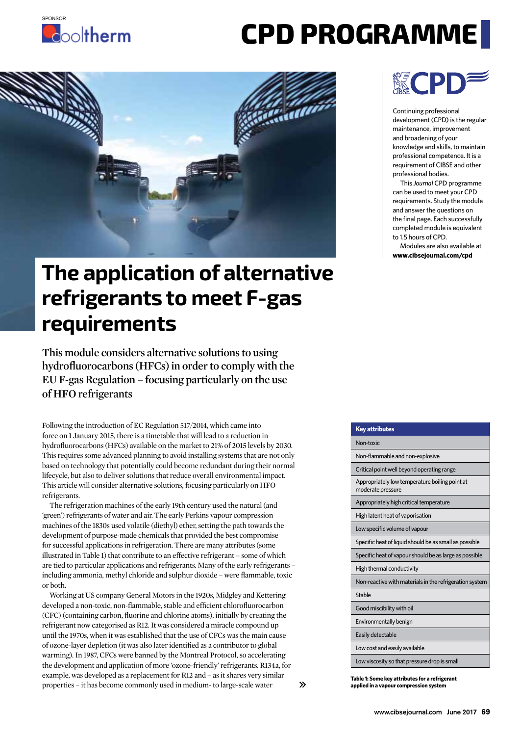

## **CPD PROGRAMME**



## **The application of alternative refrigerants to meet F-gas requirements**

**This module considers alternative solutions to using hydrofluorocarbons (HFCs) in order to comply with the EU F-gas Regulation – focusing particularly on the use of HFO refrigerants**

Following the introduction of EC Regulation 517/2014, which came into force on 1 January 2015, there is a timetable that will lead to a reduction in hydrofluorocarbons (HFCs) available on the market to 21% of 2015 levels by 2030. This requires some advanced planning to avoid installing systems that are not only based on technology that potentially could become redundant during their normal lifecycle, but also to deliver solutions that reduce overall environmental impact. This article will consider alternative solutions, focusing particularly on HFO refrigerants.

The refrigeration machines of the early 19th century used the natural (and 'green') refrigerants of water and air. The early Perkins vapour compression machines of the 1830s used volatile (diethyl) ether, setting the path towards the development of purpose-made chemicals that provided the best compromise for successful applications in refrigeration. There are many attributes (some illustrated in Table 1) that contribute to an effective refrigerant – some of which are tied to particular applications and refrigerants. Many of the early refrigerants – including ammonia, methyl chloride and sulphur dioxide – were flammable, toxic or both.

Working at US company General Motors in the 1920s, Midgley and Kettering developed a non-toxic, non-flammable, stable and efficient chlorofluorocarbon (CFC) (containing carbon, fluorine and chlorine atoms), initially by creating the refrigerant now categorised as R12. It was considered a miracle compound up until the 1970s, when it was established that the use of CFCs was the main cause of ozone-layer depletion (it was also later identified as a contributor to global warming). In 1987, CFCs were banned by the Montreal Protocol, so accelerating the development and application of more 'ozone-friendly' refrigerants. R134a, for example, was developed as a replacement for R12 and – as it shares very similar properties – it has become commonly used in medium- to large-scale water



Continuing professional development (CPD) is the regular maintenance, improvement and broadening of your knowledge and skills, to maintain professional competence. It is a requirement of CIBSE and other professional bodies.

This *Journal* CPD programme can be used to meet your CPD requirements. Study the module and answer the questions on the final page. Each successfully completed module is equivalent to 1.5 hours of CPD.

Modules are also available at **www.cibsejournal.com/cpd**

| <b>Key attributes</b>                                               |
|---------------------------------------------------------------------|
| Non-toxic                                                           |
| Non-flammable and non-explosive                                     |
| Critical point well beyond operating range                          |
| Appropriately low temperature boiling point at<br>moderate pressure |
| Appropriately high critical temperature                             |
| High latent heat of vaporisation                                    |
| Low specific volume of vapour                                       |
| Specific heat of liquid should be as small as possible              |
| Specific heat of vapour should be as large as possible              |
| High thermal conductivity                                           |
| Non-reactive with materials in the refrigeration system             |
| Stable                                                              |
| Good miscibility with oil                                           |
| Environmentally benign                                              |
| Easily detectable                                                   |
| Low cost and easily available                                       |
| Low viscosity so that pressure drop is small                        |

**Table 1: Some key attributes for a refrigerant applied in a vapour compression system**

 $\mathcal{P}$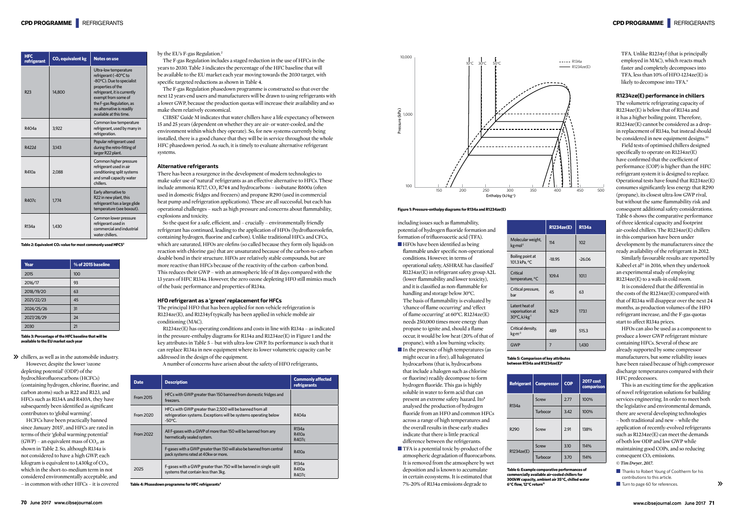$\gg$  chillers, as well as in the automobile industry. However, despite the lower 'ozone depleting potential' (ODP) of the hydrochlorofluorocarbons (HCFCs) (containing hydrogen, chlorine, fluorine, and carbon atoms) such as R22 and R123, and HFCs such as R134A and R410A, they have subsequently been identified as significant contributors to 'global warming'.

HCFCs have been practically banned since January 2015<sup>1</sup>, and HFCs are rated in terms of their 'global warming potential'  $(GWP)$  – an equivalent mass of  $CO<sub>2</sub>$ , as shown in Table 2. So, although R134a is not considered to have a high GWP, each kilogram is equivalent to  $1.430\text{kg}$  of CO<sub>2</sub>, which in the short-to-medium term in not considered environmentally acceptable, and – in common with other HFCs – it is covered

## by the EU's F-gas Regulation.<sup>2</sup>

The F-gas Regulation includes a staged reduction in the use of HFCs in the years to 2030. Table 3 indicates the percentage of the HFC baseline that will be available to the EU market each year moving towards the 2030 target, with specific targeted reductions as shown in Table 4.

The F-gas Regulation phasedown programme is constructed so that over the next 12 years end users and manufacturers will be drawn to using refrigerants with a lower GWP, because the production quotas will increase their availability and so make them relatively economical.

CIBSE5 Guide M indicates that water chillers have a life expectancy of between 15 and 25 years (dependent on whether they are air- or water-cooled, and the environment within which they operate). So, for new systems currently being installed, there is a good chance that they will be in service throughout the whole HFC phasedown period. As such, it is timely to evaluate alternative refrigerant systems.

### **Alternative refrigerants**

There has been a resurgence in the development of modern technologies to make safer use of 'natural' refrigerants as an effective alternative to HFCs. These include ammonia R717, CO<sub>2</sub> R744 and hydrocarbons – isobutane R600a (often used in domestic fridges and freezers) and propane R290 (used in commercial heat pump and refrigeration applications). These are all successful, but each has operational challenges – such as high pressure and concerns about flammability, explosions and toxicity.

> ■ HFOs have been identified as being flammable under specific non-operational conditions. However, in terms of operational safety, ASHRAE has classified7 R1234ze(E) in refrigerant safety group A2L (lower flammability and lower toxicity), and it is classified as non-flammable for handling and storage below 30°C. The basis of flammability is evaluated by 'chance of flame occurring' and 'effect of flame occurring' at 60°C. R1234ze(E) needs 250,000 times more energy than propane to ignite and, should a flame occur, it would be low heat (20% of that of propane), with a low burning velocity.

- In the presence of high temperatures (as might occur in a fire), all halogenated hydrocarbons (that is, hydrocarbons that include a halogen such as chlorine or fluorine) readily decompose to form hydrogen fluoride. This gas is highly soluble in water to form acid that can present an extreme safety hazard. Ito<sup>8</sup> analysed the production of hydrogen fluoride from an HFO and common HFCs across a range of high temperatures and the overall results in these early studies indicate that there is little practical difference between the refrigerants.
- TFA is a potential toxic by-product of the atmospheric degradation of fluorocarbons. It is removed from the atmosphere by wet deposition and is known to accumulate in certain ecosystems. It is estimated that 7%-20% of R134a emissions degrade to

TFA. Unlike R1234yf (that is principally employed in MAC), which reacts much faster and completely decomposes into TFA, less than 10% of HFO-1234ze(E) is likely to decompose into TFA.<sup>9</sup>

So the quest for a safe, efficient, and – crucially – environmentally friendly refrigerant has continued, leading to the application of HFOs (hydrofluoroolefin, containing hydrogen, fluorine and carbon). Unlike traditional HFCs and CFCs, which are saturated, HFOs are olefins (so called because they form oily liquids on reaction with chlorine gas) that are unsaturated because of the carbon-to-carbon double bond in their structure. HFOs are relatively stable compounds, but are more reactive than HFCs because of the reactivity of the carbon–carbon bond. This reduces their GWP – with an atmospheric life of 18 days compared with the 13 years of HFC R134a. However, the zero ozone depleting HFO still mimics much of the basic performance and properties of R134a.

The volumetric refrigerating capacity of R1234ze(E) is below that of R134a and it has a higher boiling point. Therefore, R1234ze(E) cannot be considered as a dropin replacement of R134a, but instead should be considered in new equipment designs.<sup>10</sup>

## **HFO refrigerant as a 'green' replacement for HFCs**

The principal HFO that has been applied for non-vehicle refrigeration is R1234ze(E), and R1234yf typically has been applied in vehicle mobile air conditioning (MAC).

R1234ze(E) has operating conditions and costs in line with R134a – as indicated in the pressure-enthalpy diagrams for R134a and R1234ze(E) in Figure 1 and the key attributes in Table 5 – but with ultra-low GWP. Its performance is such that it can replace R134a in new equipment where its lower volumetric capacity can be addressed in the design of the equipment.

A number of concerns have arisen about the safety of HFO refrigerants,

including issues such as flammability, potential of hydrogen fluoride formation and formation of trifluoroacetic acid (TFA).

> ■ Thanks to Robert Young of Cooltherm for his contributions to this article.

■ Turn to page 60 for references.

**Table 6: Example comparative performances of commercially available air-cooled chillers for 300kW capacity, ambient air 35°C, chilled water 6°C flow, 12°C return** 



## **R1234ze(E) performance in chillers**

Field tests of optimised chillers designed specifically to operate on R1234ze(E) have confirmed that the coefficient of performance (COP) is higher than the HFC refrigerant system it is designed to replace. Operational tests have found that R1234ze(E) consumes significantly less energy that R290 (propane), its closest ultra-low GWP rival, but without the same flammability risk and consequent additional safety considerations. Table 6 shows the comparative performance of three identical capacity and footprint air-cooled chillers. The R1234ze(E) chillers in this comparison have been under development by the manufacturers since the ready availability of the refrigerant in 2012.

Similarly favourable results are reported by Kabeel et al<sup>12</sup> in 2016, when they undertook an experimental study of employing R1234ze(E) to a walk-in cold room.

It is considered that the differential in the costs of the R1234ze(E) compared with that of R134a will disappear over the next 24 months, as production volumes of the HFO refrigerant increase, and the F-gas quotas start to affect R134a prices.

HFOs can also be used as a component to produce a lower GWP refrigerant mixture containing HFCs. Several of these are already supported by some compressor manufacturers, but some reliability issues have been raised because of high compressor discharge temperatures compared with their HFC predecessors.

This is an exciting time for the application of novel refrigeration solutions for building services engineering. In order to meet both the legislative and environmental demands, there are several developing technologies – both traditional and new – while the application of recently-evolved refrigerants such as R1234ze(E) can meet the demands of both low ODP and low GWP while maintaining good COPs, and so reducing consequent  $CO<sub>2</sub>$  emissions. **©** *Tim Dwyer, 2017.*

From 2020

| <b>Date</b>      | <b>Description</b>                                                                                                                                | <b>Commonly affected</b><br>refrigerants |
|------------------|---------------------------------------------------------------------------------------------------------------------------------------------------|------------------------------------------|
| <b>From 2015</b> | HFCs with GWP greater than 150 banned from domestic fridges and<br>freezers.                                                                      |                                          |
| From 2020        | HFCs with GWP greater than 2,500 will be banned from all<br>refrigeration systems. Exceptions will be systems operating below<br>$-50^{\circ}$ C. | R404a                                    |
| From 2022        | All F-gases with a GWP of more than 150 will be banned from any<br>hermetically sealed system.                                                    | R <sub>134</sub> a<br>R410a<br>R407c     |
|                  | F-gases with a GWP greater than 150 will also be banned from central<br>pack systems rated at 40kw or more.                                       | R410a                                    |
| 2025             | F-gases with a GWP greater than 750 will be banned in single split<br>systems that contain less than 3kg.                                         | R <sub>134</sub> a<br>R410a<br>R407c     |

Table 4: Phasedown programme for HFC refrigerants<sup>4</sup>

| <b>HFC</b><br>refrigerant | CO <sub>2</sub> equivalent kg | <b>Notes on use</b>                                                                                                                                                                                                                         |  |
|---------------------------|-------------------------------|---------------------------------------------------------------------------------------------------------------------------------------------------------------------------------------------------------------------------------------------|--|
| R <sub>23</sub>           | 14,800                        | Ultra-low temperature<br>refrigerant (-40°C to<br>-80°C). Due to specialist<br>properties of the<br>refrigerant, it is currently<br>exempt from some of<br>the F-gas Regulation, as<br>no alternative is readily<br>available at this time. |  |
| R404a                     | 3,922                         | Common low temperature<br>refrigerant, used by many in<br>refrigeration.                                                                                                                                                                    |  |
| R422d                     | 3.143                         | Popular refrigerant used<br>during the retro-fitting of<br>larger R22 plant.                                                                                                                                                                |  |
| R410a                     | 2.088                         | Common higher pressure<br>refrigerant used in air<br>conditioning split systems<br>and small capacity water<br>chillers.                                                                                                                    |  |
| R407c                     | 1.774                         | Early alternative to<br>R22 in new plant, this<br>refrigerant has a large glide<br>temperature (see boxout).                                                                                                                                |  |
| R <sub>134</sub> a        | 1,430                         | Common lower pressure<br>refrigerant used in<br>commercial and industrial<br>water chillers.                                                                                                                                                |  |

Table 2: Equivalent CO<sub>2</sub> value for most commonly used HFCS<sup>3</sup>

| Year       | % of 2015 baseline |
|------------|--------------------|
| 2015       | 100                |
| 2016/17    | 93                 |
| 2018/19/20 | 63                 |
| 2021/22/23 | 45                 |
| 2024/25/26 | 31                 |
| 2027/28/29 | 24                 |
| 2030       | 21                 |

**Table 3: Percentage of the HFC baseline that will be available to the EU market each year**

## **Figure 1: Pressure-enthalpy diagrams for R134a and R1234ze(E)**

|                                                                 | <b>R1234ze(E)</b> | <b>R134a</b>    |
|-----------------------------------------------------------------|-------------------|-----------------|
| Molecular weight,<br>kg·mol <sup>-1</sup>                       | 114               | 10 <sub>2</sub> |
| Boiling point at<br>101.3 kPa, °C                               | $-18.95$          | $-26.06$        |
| Critical<br>temperature, °C                                     | 109.4             | 101.1           |
| Critical pressure,<br>har                                       | 45                | 63              |
| I atent heat of<br>vaporisation at<br>30°C, kJ·kg <sup>-1</sup> | 162.9             | 1731            |
| Critical density,<br>kg·m <sup>-3</sup>                         | 489               | 515.3           |
| <b>GWP</b>                                                      | 7                 | 1,430           |

**Table 5: Comparison of key attributes between R134a and R1234ze(E)6**

| <b>Refrigerant</b> | <b>Compressor</b> | <b>COP</b> | <b>2017 cost</b><br>comparison |  |
|--------------------|-------------------|------------|--------------------------------|--|
| R134a              | Screw             | 2.77       | 100%                           |  |
|                    | Turbocor          | 3.42       | 100%                           |  |
| R290               | Screw             | 2.91       | 138%                           |  |
|                    | Screw             | 3.10       | 114%                           |  |
| R1234ze(E)         | Turbocor          | 3.70       | 114%                           |  |